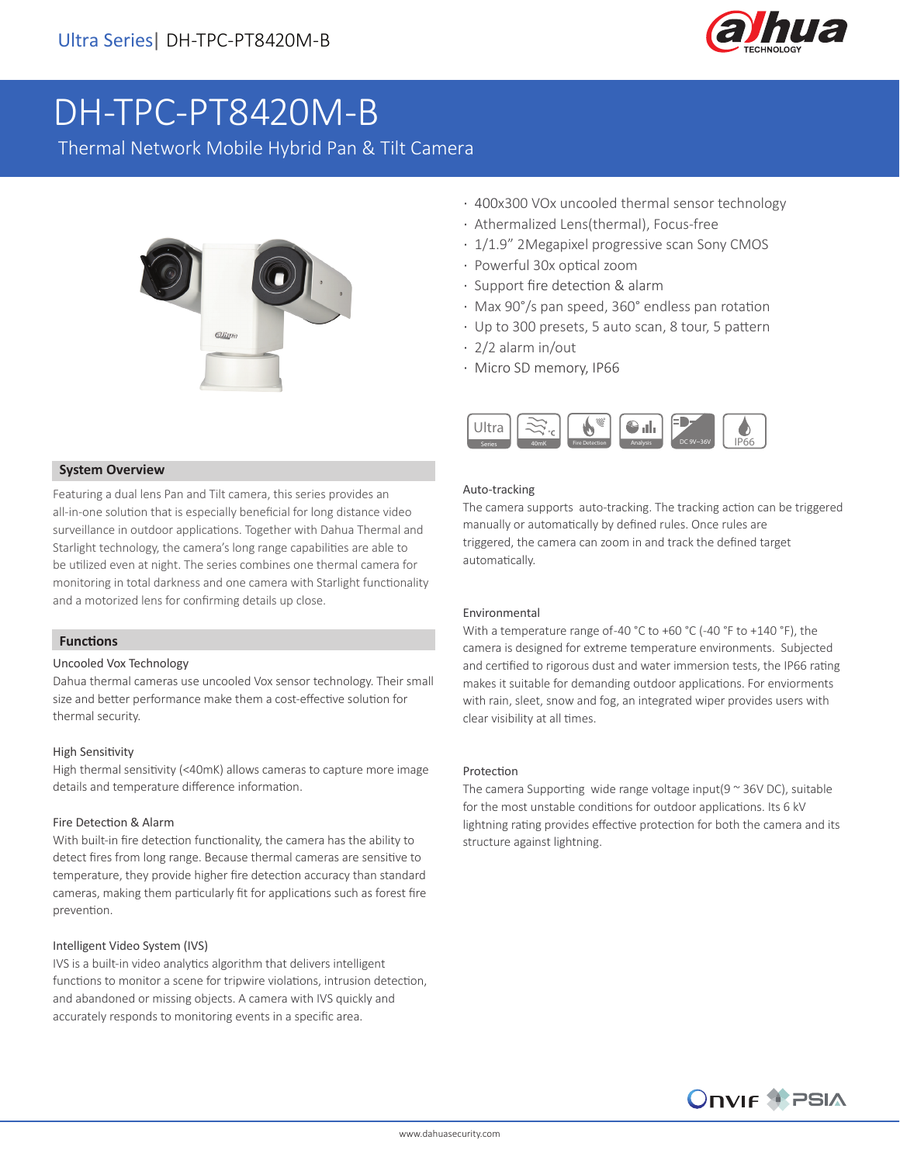

# DH-TPC-PT8420M-B

Thermal Network Mobile Hybrid Pan & Tilt Camera



### **System Overview**

Featuring a dual lens Pan and Tilt camera, this series provides an all-in-one solution that is especially beneficial for long distance video surveillance in outdoor applications. Together with Dahua Thermal and Starlight technology, the camera's long range capabilities are able to be utilized even at night. The series combines one thermal camera for monitoring in total darkness and one camera with Starlight functionality and a motorized lens for confirming details up close.

### **Functions**

### Uncooled Vox Technology

Dahua thermal cameras use uncooled Vox sensor technology. Their small size and better performance make them a cost-effective solution for thermal security.

### High Sensitivity

High thermal sensitivity (<40mK) allows cameras to capture more image details and temperature difference information.

### Fire Detection & Alarm

With built-in fire detection functionality, the camera has the ability to detect fires from long range. Because thermal cameras are sensitive to temperature, they provide higher fire detection accuracy than standard cameras, making them particularly fit for applications such as forest fire prevention.

### Intelligent Video System (IVS)

IVS is a built-in video analytics algorithm that delivers intelligent functions to monitor a scene for tripwire violations, intrusion detection, and abandoned or missing objects. A camera with IVS quickly and accurately responds to monitoring events in a specific area.

- · 400x300 VOx uncooled thermal sensor technology
- · Athermalized Lens(thermal), Focus-free
- · 1/1.9" 2Megapixel progressive scan Sony CMOS
- · Powerful 30x optical zoom
- · Support fire detection & alarm
- · Max 90°/s pan speed, 360° endless pan rotation
- · Up to 300 presets, 5 auto scan, 8 tour, 5 pattern
- · 2/2 alarm in/out
- · Micro SD memory, IP66



### Auto-tracking

The camera supports auto-tracking. The tracking action can be triggered manually or automatically by defined rules. Once rules are triggered, the camera can zoom in and track the defined target automatically.

### Environmental

With a temperature range of -40 °C to +60 °C (-40 °F to +140 °F), the camera is designed for extreme temperature environments. Subjected and certified to rigorous dust and water immersion tests, the IP66 rating makes it suitable for demanding outdoor applications. For enviorments with rain, sleet, snow and fog, an integrated wiper provides users with clear visibility at all times.

### Protection

The camera Supporting wide range voltage input( $9 \sim 36$ V DC), suitable for the most unstable conditions for outdoor applications. Its 6 kV lightning rating provides effective protection for both the camera and its structure against lightning.

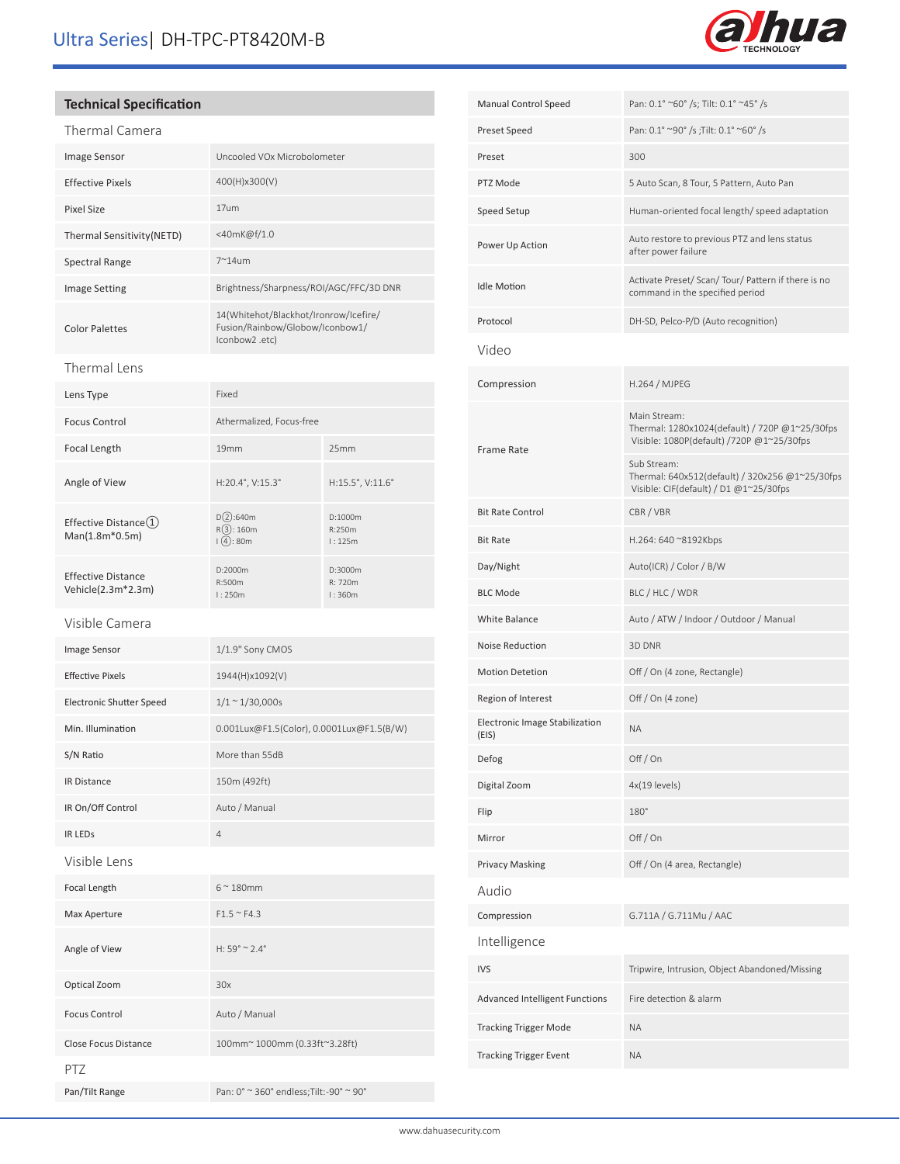# Ultra Series| DH-TPC-PT8420M-B



### **Technical Specification**

| Thermal Camera                                  |                                                                                            |                              |  |
|-------------------------------------------------|--------------------------------------------------------------------------------------------|------------------------------|--|
| Image Sensor                                    | Uncooled VOx Microbolometer                                                                |                              |  |
| <b>Effective Pixels</b>                         | 400(H)x300(V)                                                                              |                              |  |
| Pixel Size                                      | 17um                                                                                       |                              |  |
| Thermal Sensitivity(NETD)                       | <40mK@f/1.0                                                                                |                              |  |
| <b>Spectral Range</b>                           | $7^{\sim}$ 14um                                                                            |                              |  |
| Image Setting                                   | Brightness/Sharpness/ROI/AGC/FFC/3D DNR                                                    |                              |  |
| <b>Color Palettes</b>                           | 14(Whitehot/Blackhot/Ironrow/Icefire/<br>Fusion/Rainbow/Globow/Iconbow1/<br>lconbow2 .etc) |                              |  |
| Thermal Lens                                    |                                                                                            |                              |  |
| Lens Type                                       | Fixed                                                                                      |                              |  |
| <b>Focus Control</b>                            | Athermalized, Focus-free                                                                   |                              |  |
| Focal Length                                    | 19 <sub>mm</sub>                                                                           | 25mm                         |  |
| Angle of View                                   | H:20.4°, V:15.3°                                                                           | H:15.5°, V:11.6°             |  |
| Effective Distance(1)<br>Man(1.8m*0.5m)         | D(2):640m<br>R(3): 160m<br>$(4)$ : 80m                                                     | D:1000m<br>R:250m<br>1:125m  |  |
| <b>Effective Distance</b><br>Vehicle(2.3m*2.3m) | D:2000m<br>R:500m<br>l:250m                                                                | D:3000m<br>R: 720m<br>l:360m |  |
| Visible Camera                                  |                                                                                            |                              |  |
| Image Sensor                                    | 1/1.9" Sony CMOS                                                                           |                              |  |
| <b>Effective Pixels</b>                         | 1944(H)x1092(V)                                                                            |                              |  |
| <b>Electronic Shutter Speed</b>                 | $1/1 \sim 1/30,000s$                                                                       |                              |  |
| Min. Illumination                               | 0.001Lux@F1.5(Color), 0.0001Lux@F1.5(B/W)                                                  |                              |  |
| S/N Ratio                                       | More than 55dB                                                                             |                              |  |
| IR Distance                                     | 150m (492ft)                                                                               |                              |  |
| IR On/Off Control                               | Auto / Manual                                                                              |                              |  |
| IR LEDS                                         | 4                                                                                          |                              |  |
| Visible Lens                                    |                                                                                            |                              |  |
| Focal Length                                    | $6^\sim 180$ mm                                                                            |                              |  |
| Max Aperture                                    | $F1.5 \sim F4.3$                                                                           |                              |  |
| Angle of View                                   | $H: 59^{\circ} \approx 2.4^{\circ}$                                                        |                              |  |
| Optical Zoom                                    | 30x                                                                                        |                              |  |
| <b>Focus Control</b>                            | Auto / Manual                                                                              |                              |  |
| Close Focus Distance                            | 100mm~ 1000mm (0.33ft~3.28ft)                                                              |                              |  |
| PTZ                                             |                                                                                            |                              |  |
| Pan/Tilt Range                                  | Pan: 0° ~ 360° endless; Tilt: -90° ~ 90°                                                   |                              |  |

| <b>Manual Control Speed</b>             | Pan: 0.1° ~60° /s; Tilt: 0.1° ~45° /s                                                                       |
|-----------------------------------------|-------------------------------------------------------------------------------------------------------------|
| Preset Speed                            | Pan: 0.1° ~90° /s ; Tilt: 0.1° ~60° /s                                                                      |
| Preset                                  | 300                                                                                                         |
| PTZ Mode                                | 5 Auto Scan, 8 Tour, 5 Pattern, Auto Pan                                                                    |
| Speed Setup                             | Human-oriented focal length/speed adaptation                                                                |
| Power Up Action                         | Auto restore to previous PTZ and lens status<br>after power failure                                         |
| <b>Idle Motion</b>                      | Activate Preset/ Scan/ Tour/ Pattern if there is no<br>command in the specified period                      |
| Protocol                                | DH-SD, Pelco-P/D (Auto recognition)                                                                         |
| Video                                   |                                                                                                             |
| Compression                             | H.264 / MJPEG                                                                                               |
| <b>Frame Rate</b>                       | Main Stream:<br>Thermal: 1280x1024(default) / 720P @1~25/30fps<br>Visible: 1080P(default) /720P @1~25/30fps |
|                                         | Sub Stream:<br>Thermal: 640x512(default) / 320x256 @1~25/30fps<br>Visible: CIF(default) / D1 @1~25/30fps    |
| <b>Bit Rate Control</b>                 | CBR / VBR                                                                                                   |
| <b>Bit Rate</b>                         | H.264: 640 ~8192Kbps                                                                                        |
| Day/Night                               | Auto(ICR) / Color / B/W                                                                                     |
| <b>BLC Mode</b>                         | BLC / HLC / WDR                                                                                             |
| White Balance                           | Auto / ATW / Indoor / Outdoor / Manual                                                                      |
| Noise Reduction                         | 3D DNR                                                                                                      |
| <b>Motion Detetion</b>                  | Off / On (4 zone, Rectangle)                                                                                |
| Region of Interest                      | Off / On (4 zone)                                                                                           |
| Electronic Image Stabilization<br>(EIS) | ΝA                                                                                                          |
| Defog                                   | Off / On                                                                                                    |
| Digital Zoom                            | 4x(19 levels)                                                                                               |
| Flip                                    | $180^\circ$                                                                                                 |
| Mirror                                  | Off / On                                                                                                    |
| <b>Privacy Masking</b>                  | Off / On (4 area, Rectangle)                                                                                |
| Audio                                   |                                                                                                             |
| Compression                             | G.711A / G.711Mu / AAC                                                                                      |
| Intelligence                            |                                                                                                             |
| <b>IVS</b>                              | Tripwire, Intrusion, Object Abandoned/Missing                                                               |
| <b>Advanced Intelligent Functions</b>   | Fire detection & alarm                                                                                      |
| <b>Tracking Trigger Mode</b>            | <b>ΝΑ</b>                                                                                                   |
| <b>Tracking Trigger Event</b>           | <b>ΝΑ</b>                                                                                                   |